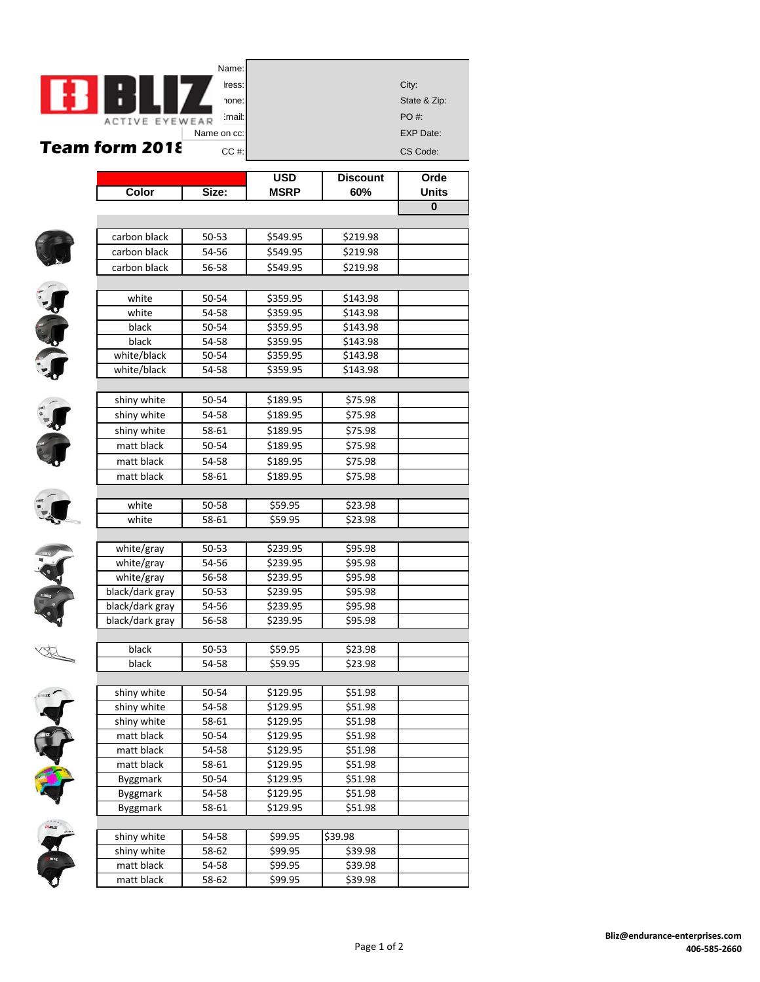|              |                          | Name:          |                      |                    |                  |
|--------------|--------------------------|----------------|----------------------|--------------------|------------------|
|              |                          | Iress:         |                      |                    | City:            |
|              |                          | hone:          |                      |                    | State & Zip:     |
|              |                          | :mail:         |                      |                    | PO #:            |
|              | ACTIVE EYEWEAR           | Name on cc:    |                      |                    | <b>EXP Date:</b> |
|              | Team form 2018           | $CC$ #:        |                      |                    | CS Code:         |
|              |                          |                |                      |                    |                  |
|              |                          |                | <b>USD</b>           | <b>Discount</b>    | Orde             |
|              | Color                    | Size:          | <b>MSRP</b>          | 60%                | <b>Units</b>     |
|              |                          |                |                      |                    | $\mathbf{0}$     |
|              |                          |                |                      |                    |                  |
|              | carbon black             | 50-53          | \$549.95             | \$219.98           |                  |
|              | carbon black             | 54-56          | \$549.95             | \$219.98           |                  |
|              | carbon black             | 56-58          | \$549.95             | \$219.98           |                  |
|              |                          |                |                      |                    |                  |
|              | white                    | 50-54          | \$359.95             | \$143.98           |                  |
|              | white                    | 54-58          | \$359.95             | \$143.98           |                  |
|              | black                    | 50-54          | \$359.95             | \$143.98           |                  |
|              | black                    | 54-58          | \$359.95             | \$143.98           |                  |
|              | white/black              | 50-54          | \$359.95             | \$143.98           |                  |
| Je de        | white/black              | 54-58          | \$359.95             | \$143.98           |                  |
|              |                          |                |                      |                    |                  |
|              | shiny white              | 50-54          | \$189.95             | \$75.98            |                  |
|              | shiny white              | 54-58          | \$189.95             | \$75.98            |                  |
|              | shiny white              | 58-61          | \$189.95             | \$75.98            |                  |
|              | matt black               | 50-54          | \$189.95             | \$75.98            |                  |
|              | matt black               | 54-58          | \$189.95             | \$75.98            |                  |
|              | matt black               | 58-61          | \$189.95             | \$75.98            |                  |
|              |                          |                |                      |                    |                  |
|              | white                    | 50-58          | \$59.95              | \$23.98            |                  |
|              | white                    | 58-61          | \$59.95              | \$23.98            |                  |
|              |                          |                |                      |                    |                  |
|              | white/gray<br>white/gray | 50-53<br>54-56 | \$239.95<br>\$239.95 | \$95.98<br>\$95.98 |                  |
|              | white/gray               | 56-58          | \$239.95             | \$95.98            |                  |
|              | black/dark gray          | 50-53          | \$239.95             | \$95.98            |                  |
|              | black/dark gray          | 54-56          | \$239.95             | \$95.98            |                  |
|              | black/dark gray          | 56-58          | \$239.95             | \$95.98            |                  |
|              |                          |                |                      |                    |                  |
| $\mathbb{Z}$ | black                    | 50-53          | \$59.95              | \$23.98            |                  |
|              | black                    | 54-58          | \$59.95              | \$23.98            |                  |
|              |                          |                |                      |                    |                  |
|              | shiny white              | 50-54          | \$129.95             | \$51.98            |                  |
|              | shiny white              | 54-58          | \$129.95             | \$51.98            |                  |
|              | shiny white              | 58-61          | \$129.95             | \$51.98            |                  |
|              | matt black               | 50-54          | \$129.95             | \$51.98            |                  |
|              | matt black               | 54-58          | \$129.95             | \$51.98            |                  |
| 19 43434     | matt black               | 58-61          | \$129.95             | \$51.98            |                  |
|              | Byggmark                 | 50-54          | \$129.95             | \$51.98            |                  |
|              | Byggmark                 | 54-58          | \$129.95             | \$51.98            |                  |
|              | Byggmark                 | 58-61          | \$129.95             | \$51.98            |                  |
|              |                          |                |                      |                    |                  |
|              | shiny white              | 54-58          | \$99.95              | \$39.98            |                  |
|              | shiny white              | 58-62          | \$99.95              | \$39.98            |                  |
|              | matt black               | 54-58          | \$99.95              | \$39.98            |                  |
|              | matt black               | 58-62          | \$99.95              | \$39.98            |                  |